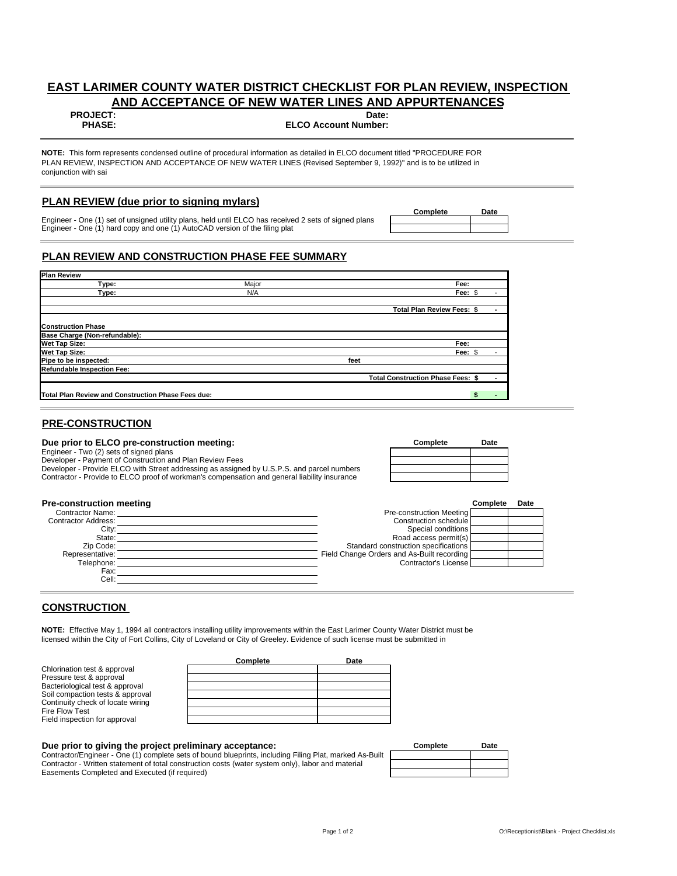# **EAST LARIMER COUNTY WATER DISTRICT CHECKLIST FOR PLAN REVIEW, INSPECTION AND ACCEPTANCE OF NEW WATER LINES AND APPURTENANCES**

#### **PROJECT: Date:**

**PHASE: ELCO Account Number:**

**NOTE:** This form represents condensed outline of procedural information as detailed in ELCO document titled "PROCEDURE FOR PLAN REVIEW, INSPECTION AND ACCEPTANCE OF NEW WATER LINES (Revised September 9, 1992)" and is to be utilized in conjunction with sai

#### **PLAN REVIEW (due prior to signing mylars)**

Engineer - One (1) set of unsigned utility plans, held until ELCO has received 2 sets of signed plans Engineer - One (1) hard copy and one (1) AutoCAD version of the filing plat

# **Complete Date**

# **PLAN REVIEW AND CONSTRUCTION PHASE FEE SUMMARY**

| <b>Plan Review</b>                                 |       |      |                                          |  |
|----------------------------------------------------|-------|------|------------------------------------------|--|
| Type:                                              | Major |      | Fee:                                     |  |
| Type:                                              | N/A   |      | Fee: \$                                  |  |
|                                                    |       |      | <b>Total Plan Review Fees: \$</b>        |  |
| <b>Construction Phase</b>                          |       |      |                                          |  |
| <b>Base Charge (Non-refundable):</b>               |       |      |                                          |  |
| <b>Wet Tap Size:</b>                               |       |      | Fee:                                     |  |
| <b>Wet Tap Size:</b>                               |       |      | Fee: \$                                  |  |
| Pipe to be inspected:                              |       | feet |                                          |  |
| Refundable Inspection Fee:                         |       |      |                                          |  |
|                                                    |       |      | <b>Total Construction Phase Fees: \$</b> |  |
|                                                    |       |      |                                          |  |
| Total Plan Review and Construction Phase Fees due: |       |      |                                          |  |

## **PRE-CONSTRUCTION**

#### **Due prior to ELCO pre-construction meeting:**

Engineer - Two (2) sets of signed plans Developer - Payment of Construction and Plan Review Fees

Developer - Provide ELCO with Street addressing as assigned by U.S.P.S. and parcel numbers Contractor - Provide to ELCO proof of workman's compensation and general liability insurance

| Complete | Date |
|----------|------|
|          |      |
|          |      |
|          |      |
|          |      |

| <b>Pre-construction meeting</b> |                                            | Complete | Date |
|---------------------------------|--------------------------------------------|----------|------|
| <b>Contractor Name:</b>         | Pre-construction Meeting                   |          |      |
| <b>Contractor Address:</b>      | Construction schedule                      |          |      |
| City:                           | Special conditions                         |          |      |
| State:                          | Road access permit(s)                      |          |      |
| Zip Code:                       | Standard construction specifications       |          |      |
| Representative:                 | Field Change Orders and As-Built recording |          |      |
| Telephone:                      | Contractor's License                       |          |      |
| Fax:                            |                                            |          |      |
| Cell:                           |                                            |          |      |

## **CONSTRUCTION**

**NOTE:** Effective May 1, 1994 all contractors installing utility improvements within the East Larimer County Water District must be licensed within the City of Fort Collins, City of Loveland or City of Greeley. Evidence of such license must be submitted in

|                                   | Complete | Date |
|-----------------------------------|----------|------|
| Chlorination test & approval      |          |      |
| Pressure test & approval          |          |      |
| Bacteriological test & approval   |          |      |
| Soil compaction tests & approval  |          |      |
| Continuity check of locate wiring |          |      |
| Fire Flow Test                    |          |      |
| Field inspection for approval     |          |      |

#### **Due prior to giving the project preliminary acceptance:**

Contractor/Engineer - One (1) complete sets of bound blueprints, including Filing Plat, marked As-Built Contractor - Written statement of total construction costs (water system only), labor and material Easements Completed and Executed (if required)

| Complete | Date |
|----------|------|
|          |      |
|          |      |
|          |      |